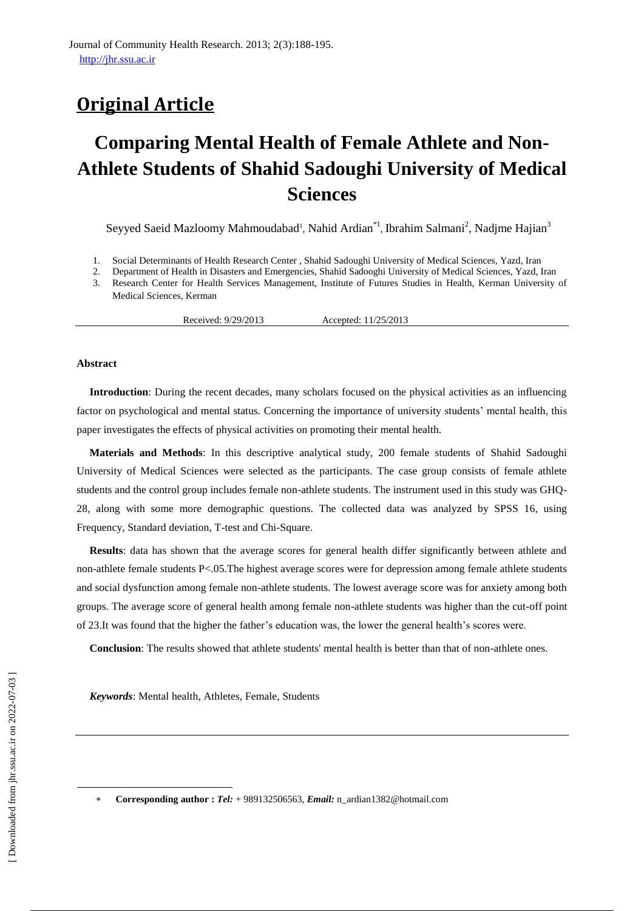# **Original Article**

# **Comparing Mental Health of Female Athlete and Non-Athlete Students of Shahid Sadoughi University of Medical Sciences**

Seyyed Saeid Mazloomy Mahmoudabad<sup>1</sup>, Nahid Ardian<sup>\*1</sup>, Ibrahim Salmani<sup>2</sup>, Nadjme Hajian<sup>3</sup>

- 1. Social Determinants of Health Research Center , Shahid Sadoughi University of Medical Sciences, Yazd, Iran
- 2. Department of Health in Disasters and Emergencies, Shahid Sadooghi University of Medical Sciences, Yazd, Iran
- 3. Research Center for Health Services Management, Institute of Futures Studies in Health, Kerman University of Medical Sciences, Kerman

Received: 9/29/2013 Accepted: 11/25/2013

#### **Abstract**

**Introduction**: During the recent decades, many scholars focused on the physical activities as an influencing factor on psychological and mental status. Concerning the importance of university students' mental health, this paper investigates the effects of physical activities on promoting their mental health.

**Materials and Methods**: In this descriptive analytical study, 200 female students of Shahid Sadoughi University of Medical Sciences were selected as the participants. The case group consists of female athlete students and the control group includes female non-athlete students. The instrument used in this study was GHQ-28, along with some more demographic questions. The collected data was analyzed by SPSS 16, using Frequency, Standard deviation, T-test and Chi-Square.

**Results**: data has shown that the average scores for general health differ significantly between athlete and non-athlete female students P<.05.The highest average scores were for depression among female athlete students and social dysfunction among female non-athlete students. The lowest average score was for anxiety among both groups. The average score of general health among female non-athlete students was higher than the cut-off point of 23.It was found that the higher the father's education was, the lower the general health's scores were.

**Conclusion**: The results showed that athlete students' mental health is better than that of non-athlete ones.

*Keywords*: Mental health, [Athletes,](http://www.ncbi.nlm.nih.gov/mesh/68056352) [Female,](http://www.ncbi.nlm.nih.gov/mesh/68005260) [Students](http://www.ncbi.nlm.nih.gov/mesh/68013334)

 $\overline{\phantom{a}}$ 

**Corresponding author :** *Tel:* + 989132506563, *Email:* [n\\_ardian1382@hotmail.com](mailto:n_ardian1382@hotmail.com)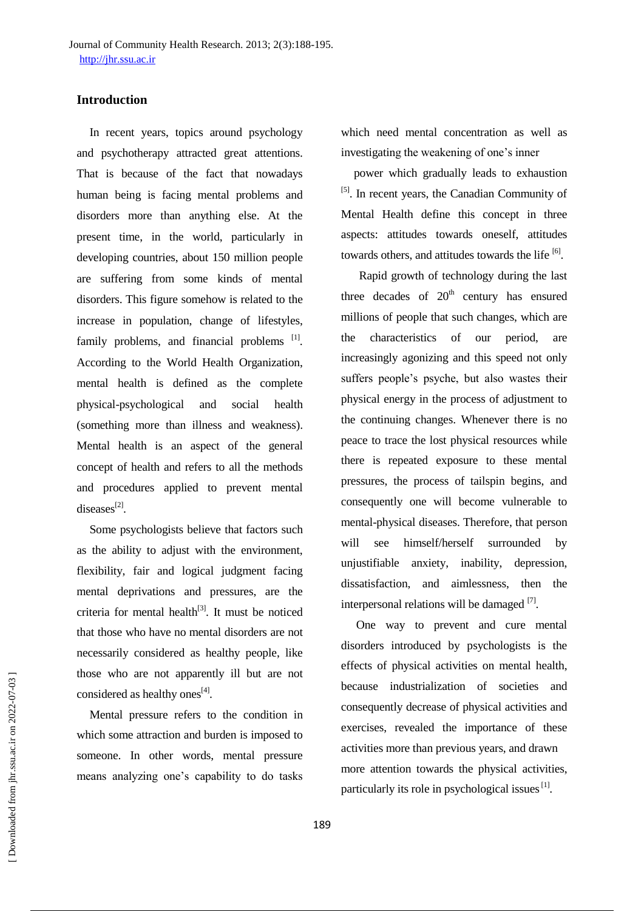Journal of Community Health Research. 2013; 2(3):188-195. [http://jhr.ssu.ac.ir](http://jhr.ssu.ac.ir/)

# **Introduction**

In recent years, topics around psychology and psychotherapy attracted great attentions. That is because of the fact that nowadays human being is facing mental problems and disorders more than anything else. At the present time, in the world, particularly in developing countries, about 150 million people are suffering from some kinds of mental disorders. This figure somehow is related to the increase in population, change of lifestyles, family problems, and financial problems [1]. According to the World Health Organization, mental health is defined as the complete physical-psychological and social health (something more than illness and weakness). Mental health is an aspect of the general concept of health and refers to all the methods and procedures applied to prevent mental  $diseases^{[2]}$ .

Some psychologists believe that factors such as the ability to adjust with the environment, flexibility, fair and logical judgment facing mental deprivations and pressures, are the criteria for mental health $[3]$ . It must be noticed that those who have no mental disorders are not necessarily considered as healthy people, like those who are not apparently ill but are not considered as healthy ones<sup>[4]</sup>.

Mental pressure refers to the condition in which some attraction and burden is imposed to someone. In other words, mental pressure means analyzing one's capability to do tasks which need mental concentration as well as investigating the weakening of one's inner

power which gradually leads to exhaustion [5]. In recent years, the Canadian Community of Mental Health define this concept in three aspects: attitudes towards oneself, attitudes towards others, and attitudes towards the life  $[6]$ .

 Rapid growth of technology during the last three decades of  $20<sup>th</sup>$  century has ensured millions of people that such changes, which are the characteristics of our period, are increasingly agonizing and this speed not only suffers people's psyche, but also wastes their physical energy in the process of adjustment to the continuing changes. Whenever there is no peace to trace the lost physical resources while there is repeated exposure to these mental pressures, the process of tailspin begins, and consequently one will become vulnerable to mental-physical diseases. Therefore, that person will see himself/herself surrounded by unjustifiable anxiety, inability, depression, dissatisfaction, and aimlessness, then the interpersonal relations will be damaged  $^{[7]}$ .

One way to prevent and cure mental disorders introduced by psychologists is the effects of physical activities on mental health, because industrialization of societies and consequently decrease of physical activities and exercises, revealed the importance of these activities more than previous years, and drawn more attention towards the physical activities, particularly its role in psychological issues<sup>[1]</sup>.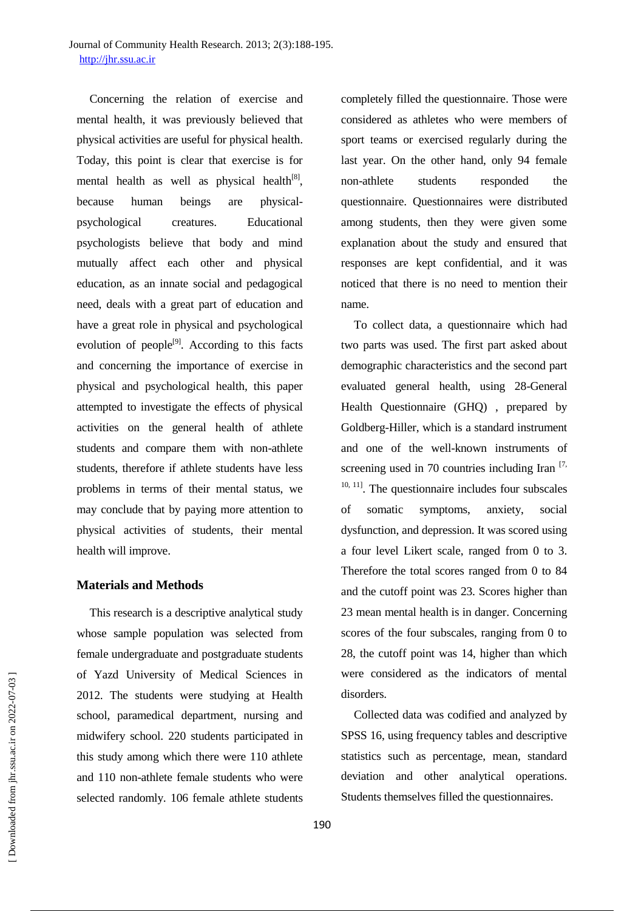Concerning the relation of exercise and mental health, it was previously believed that physical activities are useful for physical health. Today, this point is clear that exercise is for mental health as well as physical health<sup>[8]</sup>, because human beings are physicalpsychological creatures. Educational psychologists believe that body and mind mutually affect each other and physical education, as an innate social and pedagogical need, deals with a great part of education and have a great role in physical and psychological evolution of people<sup>[9]</sup>. According to this facts and concerning the importance of exercise in physical and psychological health, this paper attempted to investigate the effects of physical activities on the general health of athlete students and compare them with non-athlete students, therefore if athlete students have less problems in terms of their mental status, we may conclude that by paying more attention to physical activities of students, their mental health will improve.

# **Materials and Methods**

This research is a descriptive analytical study whose sample population was selected from female undergraduate and postgraduate students of Yazd University of Medical Sciences in 2012. The students were studying at Health school, paramedical department, nursing and midwifery school. 220 students participated in this study among which there were 110 athlete and 110 non-athlete female students who were selected randomly. 106 female athlete students

completely filled the questionnaire. Those were considered as athletes who were members of sport teams or exercised regularly during the last year. On the other hand, only 94 female non-athlete students responded the questionnaire. Questionnaires were distributed among students, then they were given some explanation about the study and ensured that responses are kept confidential, and it was noticed that there is no need to mention their name.

To collect data, a questionnaire which had two parts was used. The first part asked about demographic characteristics and the second part evaluated general health, using 28-General Health Questionnaire (GHQ) , prepared by Goldberg-Hiller, which is a standard instrument and one of the well-known instruments of screening used in 70 countries including Iran  $[7, 7]$  $10, 11$ ]. The questionnaire includes four subscales of somatic symptoms, anxiety, social dysfunction, and depression. It was scored using a four level Likert scale, ranged from 0 to 3. Therefore the total scores ranged from 0 to 84 and the cutoff point was 23. Scores higher than 23 mean mental health is in danger. Concerning scores of the four subscales, ranging from 0 to 28, the cutoff point was 14, higher than which were considered as the indicators of mental disorders.

Collected data was codified and analyzed by SPSS 16, using frequency tables and descriptive statistics such as percentage, mean, standard deviation and other analytical operations. Students themselves filled the questionnaires.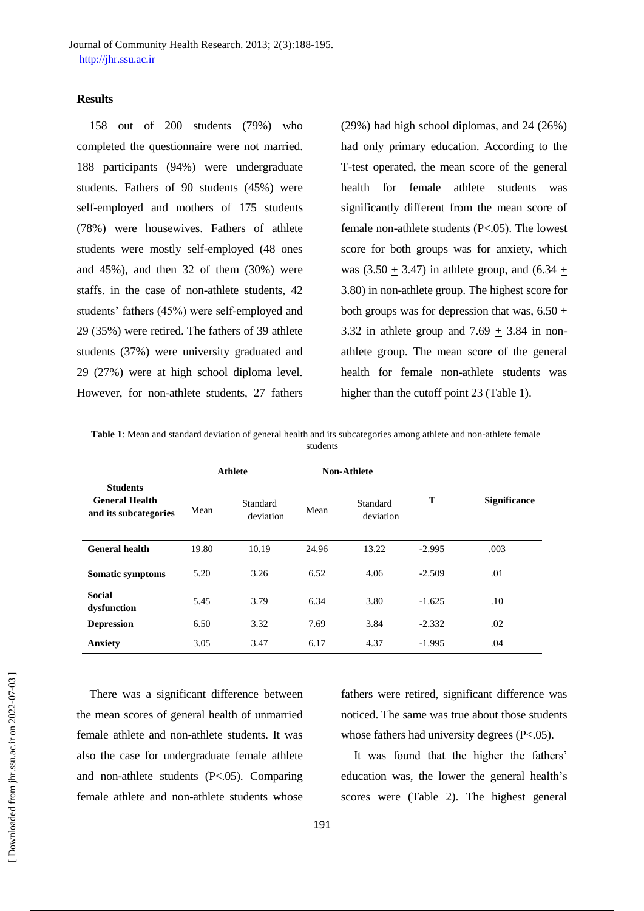Journal of Community Health Research. 2013; 2(3):188-195. [http://jhr.ssu.ac.ir](http://jhr.ssu.ac.ir/)

#### **Results**

158 out of 200 students (79%) who completed the questionnaire were not married. 188 participants (94%) were undergraduate students. Fathers of 90 students (45%) were self-employed and mothers of 175 students (78%) were housewives. Fathers of athlete students were mostly self-employed (48 ones and 45%), and then 32 of them (30%) were staffs. in the case of non-athlete students, 42 students' fathers (45%) were self-employed and 29 (35%) were retired. The fathers of 39 athlete students (37%) were university graduated and 29 (27%) were at high school diploma level. However, for non-athlete students, 27 fathers

(29%) had high school diplomas, and 24 (26%) had only primary education. According to the T-test operated, the mean score of the general health for female athlete students was significantly different from the mean score of female non-athlete students (P<.05). The lowest score for both groups was for anxiety, which was (3.50  $\pm$  3.47) in athlete group, and (6.34  $\pm$ 3.80) in non-athlete group. The highest score for both groups was for depression that was,  $6.50 \pm$ 3.32 in athlete group and 7.69  $\pm$  3.84 in nonathlete group. The mean score of the general health for female non-athlete students was higher than the cutoff point 23 (Table 1).

**Table 1**: Mean and standard deviation of general health and its subcategories among athlete and non-athlete female students

|                                                                   | <b>Athlete</b> |                       | <b>Non-Athlete</b> |                       |          |                     |
|-------------------------------------------------------------------|----------------|-----------------------|--------------------|-----------------------|----------|---------------------|
| <b>Students</b><br><b>General Health</b><br>and its subcategories | Mean           | Standard<br>deviation | Mean               | Standard<br>deviation | T        | <b>Significance</b> |
| <b>General health</b>                                             | 19.80          | 10.19                 | 24.96              | 13.22                 | $-2.995$ | .003                |
| Somatic symptoms                                                  | 5.20           | 3.26                  | 6.52               | 4.06                  | $-2.509$ | .01                 |
| <b>Social</b><br>dysfunction                                      | 5.45           | 3.79                  | 6.34               | 3.80                  | $-1.625$ | .10                 |
| <b>Depression</b>                                                 | 6.50           | 3.32                  | 7.69               | 3.84                  | $-2.332$ | .02                 |
| <b>Anxiety</b>                                                    | 3.05           | 3.47                  | 6.17               | 4.37                  | $-1.995$ | .04                 |

There was a significant difference between the mean scores of general health of unmarried female athlete and non-athlete students. It was also the case for undergraduate female athlete and non-athlete students (P<.05). Comparing female athlete and non-athlete students whose

fathers were retired, significant difference was noticed. The same was true about those students whose fathers had university degrees (P<.05).

It was found that the higher the fathers' education was, the lower the general health's scores were (Table 2). The highest general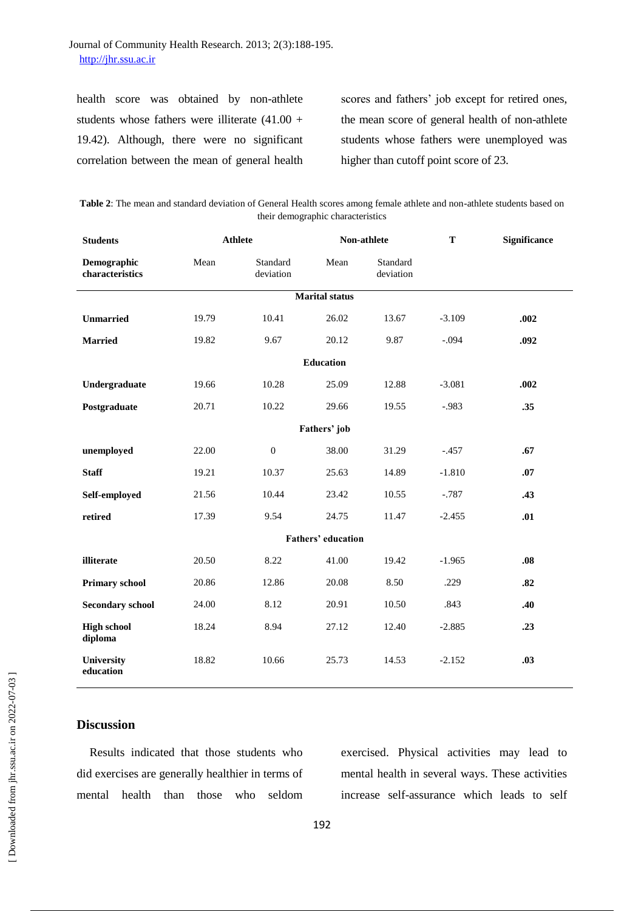# Journal of Community Health Research. 2013; 2(3):188-195. [http://jhr.ssu.ac.ir](http://jhr.ssu.ac.ir/)

health score was obtained by non-athlete students whose fathers were illiterate (41.00 + 19.42). Although, there were no significant correlation between the mean of general health scores and fathers' job except for retired ones, the mean score of general health of non-athlete students whose fathers were unemployed was higher than cutoff point score of 23.

**Table 2**: The mean and standard deviation of General Health scores among female athlete and non-athlete students based on their demographic characteristics

| <b>Students</b>                |       | <b>Athlete</b>        |       | Non-athlete           |          | <b>Significance</b> |  |  |  |  |  |
|--------------------------------|-------|-----------------------|-------|-----------------------|----------|---------------------|--|--|--|--|--|
| Demographic<br>characteristics | Mean  | Standard<br>deviation | Mean  | Standard<br>deviation |          |                     |  |  |  |  |  |
| <b>Marital</b> status          |       |                       |       |                       |          |                     |  |  |  |  |  |
| <b>Unmarried</b>               | 19.79 | 10.41                 | 26.02 | 13.67                 | $-3.109$ | .002                |  |  |  |  |  |
| <b>Married</b>                 | 19.82 | 9.67                  | 20.12 | 9.87                  | $-.094$  | .092                |  |  |  |  |  |
| <b>Education</b>               |       |                       |       |                       |          |                     |  |  |  |  |  |
| Undergraduate                  | 19.66 | 10.28                 | 25.09 | 12.88                 | $-3.081$ | .002                |  |  |  |  |  |
| Postgraduate                   | 20.71 | 10.22                 | 29.66 | 19.55                 | $-.983$  | .35                 |  |  |  |  |  |
| Fathers' job                   |       |                       |       |                       |          |                     |  |  |  |  |  |
| unemployed                     | 22.00 | $\overline{0}$        | 38.00 | 31.29                 | $-.457$  | .67                 |  |  |  |  |  |
| <b>Staff</b>                   | 19.21 | 10.37                 | 25.63 | 14.89                 | $-1.810$ | .07                 |  |  |  |  |  |
| Self-employed                  | 21.56 | 10.44                 | 23.42 | 10.55                 | $-.787$  | .43                 |  |  |  |  |  |
| retired                        | 17.39 | 9.54                  | 24.75 | 11.47                 | $-2.455$ | .01                 |  |  |  |  |  |
| <b>Fathers' education</b>      |       |                       |       |                       |          |                     |  |  |  |  |  |
| illiterate                     | 20.50 | 8.22                  | 41.00 | 19.42                 | $-1.965$ | .08                 |  |  |  |  |  |
| <b>Primary school</b>          | 20.86 | 12.86                 | 20.08 | 8.50                  | .229     | .82                 |  |  |  |  |  |
| <b>Secondary school</b>        | 24.00 | 8.12                  | 20.91 | 10.50                 | .843     | .40                 |  |  |  |  |  |
| <b>High school</b><br>diploma  | 18.24 | 8.94                  | 27.12 | 12.40                 | $-2.885$ | .23                 |  |  |  |  |  |
| University<br>education        | 18.82 | 10.66                 | 25.73 | 14.53                 | $-2.152$ | .03                 |  |  |  |  |  |

## **Discussion**

Results indicated that those students who did exercises are generally healthier in terms of mental health than those who seldom exercised. Physical activities may lead to mental health in several ways. These activities increase self-assurance which leads to self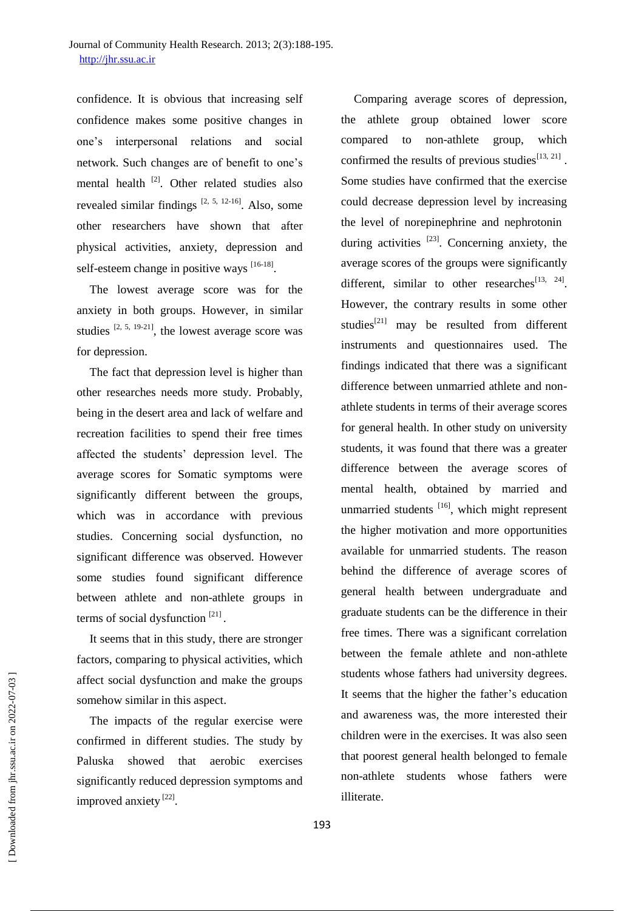confidence. It is obvious that increasing self confidence makes some positive changes in one's interpersonal relations and social network. Such changes are of benefit to one's mental health <sup>[2]</sup>. Other related studies also revealed similar findings  $[2, 5, 12-16]$ . Also, some other researchers have shown that after physical activities, anxiety, depression and self-esteem change in positive ways  $^{[16-18]}$ .

The lowest average score was for the anxiety in both groups. However, in similar studies  $[2, 5, 19-21]$ , the lowest average score was for depression.

The fact that depression level is higher than other researches needs more study. Probably, being in the desert area and lack of welfare and recreation facilities to spend their free times affected the students' depression level. The average scores for Somatic symptoms were significantly different between the groups, which was in accordance with previous studies. Concerning social dysfunction, no significant difference was observed. However some studies found significant difference between athlete and non-athlete groups in terms of social dysfunction  $[21]$ .

It seems that in this study, there are stronger factors, comparing to physical activities, which affect social dysfunction and make the groups somehow similar in this aspect.

The impacts of the regular exercise were confirmed in different studies. The study by Paluska showed that aerobic exercises significantly reduced depression symptoms and improved anxiety<sup>[22]</sup>.

Comparing average scores of depression, the athlete group obtained lower score compared to non-athlete group, which confirmed the results of previous studies $^{[13, 21]}$ . Some studies have confirmed that the exercise could decrease depression level by increasing the level of norepinephrine and nephrotonin during activities <sup>[23]</sup>. Concerning anxiety, the average scores of the groups were significantly different, similar to other researches $^{[13, 24]}$ . However, the contrary results in some other studies<sup>[21]</sup> may be resulted from different instruments and questionnaires used. The findings indicated that there was a significant difference between unmarried athlete and nonathlete students in terms of their average scores for general health. In other study on university students, it was found that there was a greater difference between the average scores of mental health, obtained by married and unmarried students [16], which might represent the higher motivation and more opportunities available for unmarried students. The reason behind the difference of average scores of general health between undergraduate and graduate students can be the difference in their free times. There was a significant correlation between the female athlete and non-athlete students whose fathers had university degrees. It seems that the higher the father's education and awareness was, the more interested their children were in the exercises. It was also seen that poorest general health belonged to female non-athlete students whose fathers were illiterate.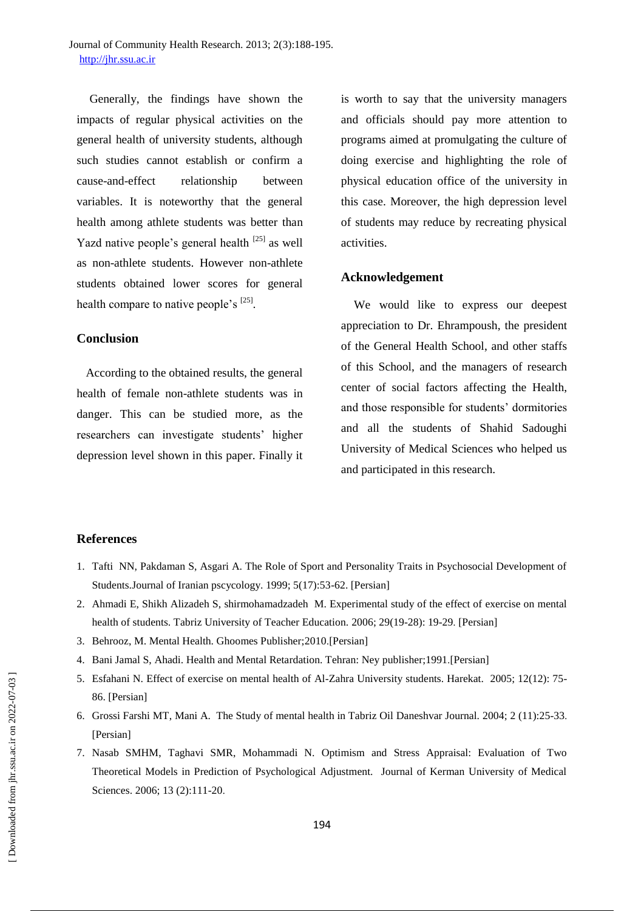Generally, the findings have shown the impacts of regular physical activities on the general health of university students, although such studies cannot establish or confirm a cause-and-effect relationship between variables. It is noteworthy that the general health among athlete students was better than Yazd native people's general health <sup>[25]</sup> as well as non-athlete students. However non-athlete students obtained lower scores for general health compare to native people's  $^{[25]}$ .

## **Conclusion**

 According to the obtained results, the general health of female non-athlete students was in danger. This can be studied more, as the researchers can investigate students' higher depression level shown in this paper. Finally it

is worth to say that the university managers and officials should pay more attention to programs aimed at promulgating the culture of doing exercise and highlighting the role of physical education office of the university in this case. Moreover, the high depression level of students may reduce by recreating physical activities.

## **Acknowledgement**

We would like to express our deepest appreciation to Dr. Ehrampoush, the president of the General Health School, and other staffs of this School, and the managers of research center of social factors affecting the Health, and those responsible for students' dormitories and all the students of Shahid Sadoughi University of Medical Sciences who helped us and participated in this research.

#### **References**

- 1. Tafti NN, Pakdaman S, Asgari A. The Role of Sport and Personality Traits in Psychosocial Development of Students.Journal of Iranian pscycology. 1999; 5(17):53-62. [Persian]
- 2. Ahmadi E, Shikh Alizadeh S, shirmohamadzadeh M. Experimental study of the effect of exercise on mental health of students. Tabriz University of Teacher Education. 2006; 29(19-28): 19-29. [Persian]
- 3. Behrooz, M. Mental Health. Ghoomes Publisher;2010.[Persian]
- 4. Bani Jamal S, Ahadi. Health and Mental Retardation. Tehran: Ney publisher;1991.[Persian]
- 5. Esfahani N. Effect of exercise on mental health of Al-Zahra University students. Harekat. 2005; 12(12): 75- 86. [Persian]
- 6. Grossi Farshi MT, Mani A. The Study of mental health in Tabriz Oil Daneshvar Journal. 2004; 2 (11):25-33. [Persian]
- 7. Nasab SMHM, Taghavi SMR, Mohammadi N. Optimism and Stress Appraisal: Evaluation of Two Theoretical Models in Prediction of Psychological Adjustment. Journal of Kerman University of Medical Sciences. 2006; 13 (2):111-20.